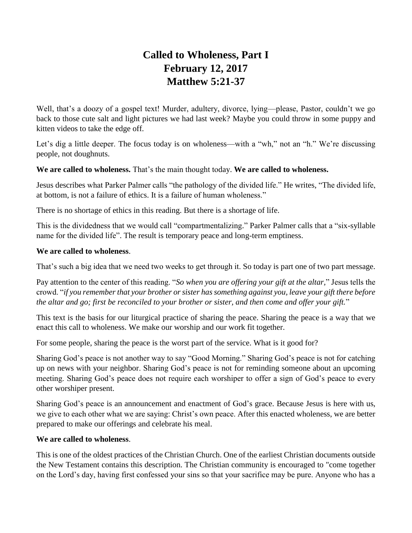# **Called to Wholeness, Part I February 12, 2017 Matthew 5:21-37**

Well, that's a doozy of a gospel text! Murder, adultery, divorce, lying—please, Pastor, couldn't we go back to those cute salt and light pictures we had last week? Maybe you could throw in some puppy and kitten videos to take the edge off.

Let's dig a little deeper. The focus today is on wholeness—with a "wh," not an "h." We're discussing people, not doughnuts.

# **We are called to wholeness.** That's the main thought today. **We are called to wholeness.**

Jesus describes what Parker Palmer calls "the pathology of the divided life." He writes, "The divided life, at bottom, is not a failure of ethics. It is a failure of human wholeness."

There is no shortage of ethics in this reading. But there is a shortage of life.

This is the dividedness that we would call "compartmentalizing." Parker Palmer calls that a "six-syllable name for the divided life". The result is temporary peace and long-term emptiness.

# **We are called to wholeness**.

That's such a big idea that we need two weeks to get through it. So today is part one of two part message.

Pay attention to the center of this reading. "*So when you are offering your gift at the altar,*" Jesus tells the crowd. "*if you remember that your brother or sister has something against you, leave your gift there before the altar and go; first be reconciled to your brother or sister, and then come and offer your gift.*"

This text is the basis for our liturgical practice of sharing the peace. Sharing the peace is a way that we enact this call to wholeness. We make our worship and our work fit together.

For some people, sharing the peace is the worst part of the service. What is it good for?

Sharing God's peace is not another way to say "Good Morning." Sharing God's peace is not for catching up on news with your neighbor. Sharing God's peace is not for reminding someone about an upcoming meeting. Sharing God's peace does not require each worshiper to offer a sign of God's peace to every other worshiper present.

Sharing God's peace is an announcement and enactment of God's grace. Because Jesus is here with us, we give to each other what we are saying: Christ's own peace. After this enacted wholeness, we are better prepared to make our offerings and celebrate his meal.

# **We are called to wholeness**.

This is one of the oldest practices of the Christian Church. One of the earliest Christian documents outside the New Testament contains this description. The Christian community is encouraged to "come together on the Lord's day, having first confessed your sins so that your sacrifice may be pure. Anyone who has a